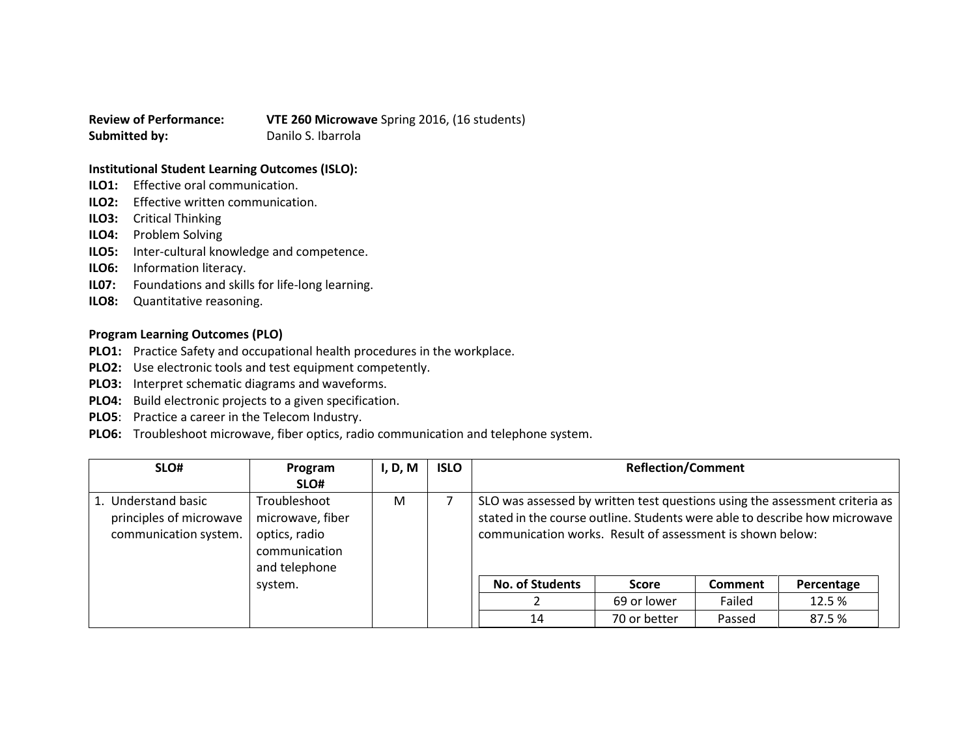**Review of Performance: VTE 260 Microwave** Spring 2016, (16 students) **Submitted by:** Danilo S. Ibarrola

## **Institutional Student Learning Outcomes (ISLO):**

- **ILO1:** Effective oral communication.
- **ILO2:** Effective written communication.
- **ILO3:** Critical Thinking
- **ILO4:** Problem Solving
- **ILO5:** Inter-cultural knowledge and competence.
- **ILO6:** Information literacy.
- **IL07:** Foundations and skills for life-long learning.
- **ILO8:** Quantitative reasoning.

## **Program Learning Outcomes (PLO)**

- **PLO1:** Practice Safety and occupational health procedures in the workplace.
- **PLO2:** Use electronic tools and test equipment competently.
- **PLO3:** Interpret schematic diagrams and waveforms.
- **PLO4:** Build electronic projects to a given specification.
- **PLO5**: Practice a career in the Telecom Industry.
- **PLO6:** Troubleshoot microwave, fiber optics, radio communication and telephone system.

| SLO#                                                                    | Program<br>SLO#                                                                     | I, D, M | <b>ISLO</b> |                                                                                                                                                                                                                        | <b>Reflection/Comment</b> |                |            |  |
|-------------------------------------------------------------------------|-------------------------------------------------------------------------------------|---------|-------------|------------------------------------------------------------------------------------------------------------------------------------------------------------------------------------------------------------------------|---------------------------|----------------|------------|--|
| 1. Understand basic<br>principles of microwave<br>communication system. | Troubleshoot<br>microwave, fiber<br>optics, radio<br>communication<br>and telephone | M       |             | SLO was assessed by written test questions using the assessment criteria as<br>stated in the course outline. Students were able to describe how microwave<br>communication works. Result of assessment is shown below: |                           |                |            |  |
|                                                                         | system.                                                                             |         |             | <b>No. of Students</b>                                                                                                                                                                                                 | <b>Score</b>              | <b>Comment</b> | Percentage |  |
|                                                                         |                                                                                     |         |             |                                                                                                                                                                                                                        | 69 or lower               | Failed         | 12.5 %     |  |
|                                                                         |                                                                                     |         |             | 14                                                                                                                                                                                                                     | 70 or better              | Passed         | 87.5%      |  |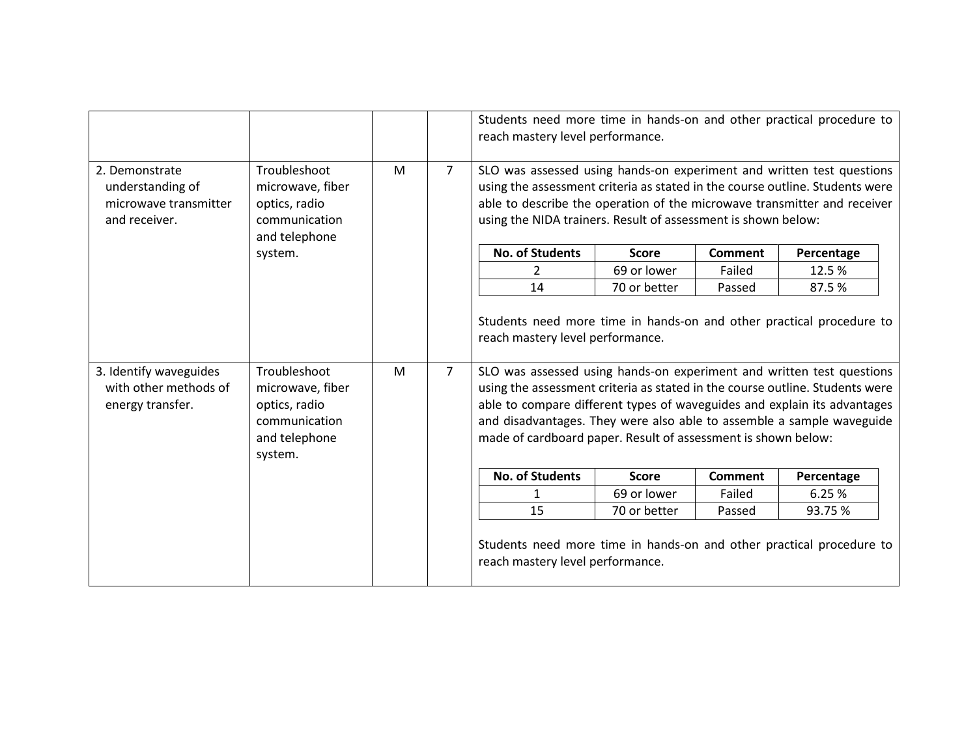|                                                                              |                                                                                                |   |                | Students need more time in hands-on and other practical procedure to<br>reach mastery level performance.                                                                                                                                                                                                                                                                                                        |              |                |                                                                          |
|------------------------------------------------------------------------------|------------------------------------------------------------------------------------------------|---|----------------|-----------------------------------------------------------------------------------------------------------------------------------------------------------------------------------------------------------------------------------------------------------------------------------------------------------------------------------------------------------------------------------------------------------------|--------------|----------------|--------------------------------------------------------------------------|
| 2. Demonstrate<br>understanding of<br>microwave transmitter<br>and receiver. | Troubleshoot<br>microwave, fiber<br>optics, radio<br>communication<br>and telephone            | M | $\overline{7}$ | SLO was assessed using hands-on experiment and written test questions<br>using the assessment criteria as stated in the course outline. Students were<br>using the NIDA trainers. Result of assessment is shown below:                                                                                                                                                                                          |              |                | able to describe the operation of the microwave transmitter and receiver |
|                                                                              | system.                                                                                        |   |                | <b>No. of Students</b>                                                                                                                                                                                                                                                                                                                                                                                          | <b>Score</b> | <b>Comment</b> | Percentage                                                               |
|                                                                              |                                                                                                |   |                | $\mathcal{P}$                                                                                                                                                                                                                                                                                                                                                                                                   | 69 or lower  | Failed         | 12.5%                                                                    |
|                                                                              |                                                                                                |   |                | 14                                                                                                                                                                                                                                                                                                                                                                                                              | 70 or better | Passed         | 87.5%                                                                    |
| 3. Identify waveguides<br>with other methods of<br>energy transfer.          | Troubleshoot<br>microwave, fiber<br>optics, radio<br>communication<br>and telephone<br>system. | M | $\overline{7}$ | reach mastery level performance.<br>SLO was assessed using hands-on experiment and written test questions<br>using the assessment criteria as stated in the course outline. Students were<br>able to compare different types of waveguides and explain its advantages<br>and disadvantages. They were also able to assemble a sample waveguide<br>made of cardboard paper. Result of assessment is shown below: |              |                |                                                                          |
|                                                                              |                                                                                                |   |                | <b>No. of Students</b>                                                                                                                                                                                                                                                                                                                                                                                          | <b>Score</b> | <b>Comment</b> | Percentage                                                               |
|                                                                              |                                                                                                |   |                | 1                                                                                                                                                                                                                                                                                                                                                                                                               | 69 or lower  | Failed         | 6.25%                                                                    |
|                                                                              |                                                                                                |   |                | 15                                                                                                                                                                                                                                                                                                                                                                                                              | 70 or better | Passed         | 93.75%                                                                   |
|                                                                              |                                                                                                |   |                | Students need more time in hands-on and other practical procedure to<br>reach mastery level performance.                                                                                                                                                                                                                                                                                                        |              |                |                                                                          |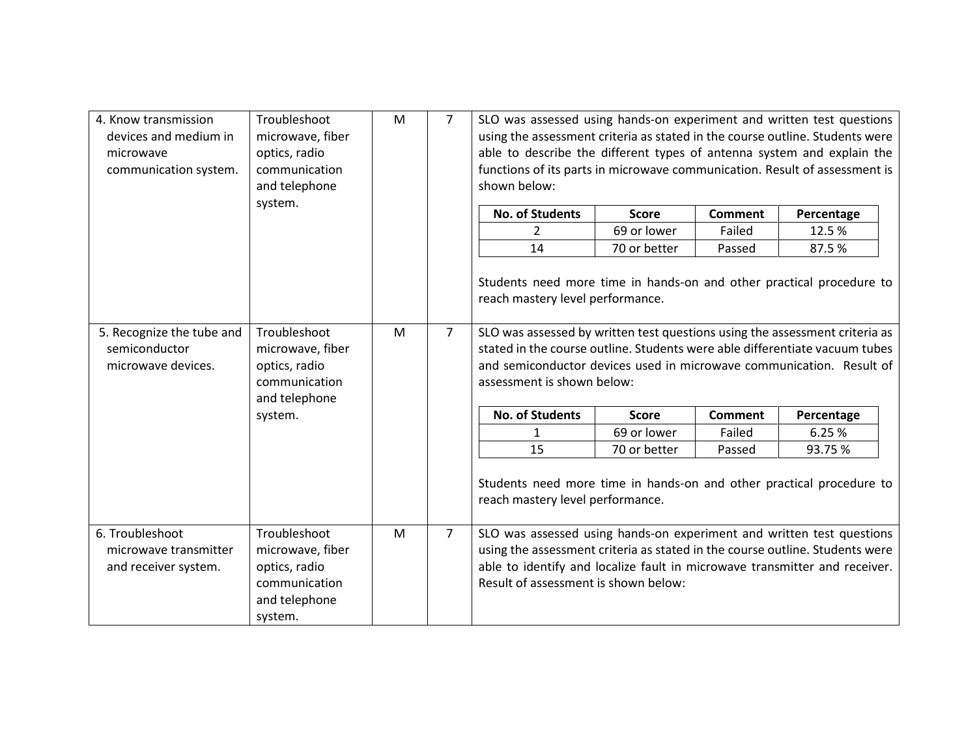| 4. Know transmission<br>devices and medium in<br>microwave<br>communication system. | Troubleshoot<br>microwave, fiber<br>optics, radio<br>communication<br>and telephone | M | $\overline{7}$ | SLO was assessed using hands-on experiment and written test questions<br>using the assessment criteria as stated in the course outline. Students were<br>able to describe the different types of antenna system and explain the<br>functions of its parts in microwave communication. Result of assessment is<br>shown below: |              |                |            |
|-------------------------------------------------------------------------------------|-------------------------------------------------------------------------------------|---|----------------|-------------------------------------------------------------------------------------------------------------------------------------------------------------------------------------------------------------------------------------------------------------------------------------------------------------------------------|--------------|----------------|------------|
|                                                                                     | system.                                                                             |   |                | <b>No. of Students</b>                                                                                                                                                                                                                                                                                                        | <b>Score</b> | <b>Comment</b> | Percentage |
|                                                                                     |                                                                                     |   |                | $\overline{2}$                                                                                                                                                                                                                                                                                                                | 69 or lower  | Failed         | 12.5%      |
|                                                                                     |                                                                                     |   |                | 14                                                                                                                                                                                                                                                                                                                            | 70 or better | Passed         | 87.5%      |
|                                                                                     |                                                                                     |   |                | Students need more time in hands-on and other practical procedure to<br>reach mastery level performance.                                                                                                                                                                                                                      |              |                |            |
| 5. Recognize the tube and                                                           | Troubleshoot                                                                        | M | $\overline{7}$ | SLO was assessed by written test questions using the assessment criteria as                                                                                                                                                                                                                                                   |              |                |            |
| semiconductor                                                                       | microwave, fiber                                                                    |   |                | stated in the course outline. Students were able differentiate vacuum tubes                                                                                                                                                                                                                                                   |              |                |            |
| microwave devices.                                                                  | optics, radio<br>communication<br>and telephone                                     |   |                | and semiconductor devices used in microwave communication. Result of<br>assessment is shown below:                                                                                                                                                                                                                            |              |                |            |
|                                                                                     | system.                                                                             |   |                | <b>No. of Students</b>                                                                                                                                                                                                                                                                                                        | <b>Score</b> | <b>Comment</b> | Percentage |
|                                                                                     |                                                                                     |   |                | $\mathbf{1}$                                                                                                                                                                                                                                                                                                                  | 69 or lower  | Failed         | 6.25 %     |
|                                                                                     |                                                                                     |   |                | 15                                                                                                                                                                                                                                                                                                                            | 70 or better | Passed         | 93.75 %    |
|                                                                                     |                                                                                     |   |                | Students need more time in hands-on and other practical procedure to<br>reach mastery level performance.                                                                                                                                                                                                                      |              |                |            |
| 6. Troubleshoot                                                                     | Troubleshoot                                                                        | M | $\overline{7}$ | SLO was assessed using hands-on experiment and written test questions                                                                                                                                                                                                                                                         |              |                |            |
| microwave transmitter                                                               | microwave, fiber                                                                    |   |                | using the assessment criteria as stated in the course outline. Students were                                                                                                                                                                                                                                                  |              |                |            |
| and receiver system.                                                                | optics, radio                                                                       |   |                | able to identify and localize fault in microwave transmitter and receiver.                                                                                                                                                                                                                                                    |              |                |            |
|                                                                                     | communication                                                                       |   |                | Result of assessment is shown below:                                                                                                                                                                                                                                                                                          |              |                |            |
|                                                                                     | and telephone                                                                       |   |                |                                                                                                                                                                                                                                                                                                                               |              |                |            |
|                                                                                     | system.                                                                             |   |                |                                                                                                                                                                                                                                                                                                                               |              |                |            |